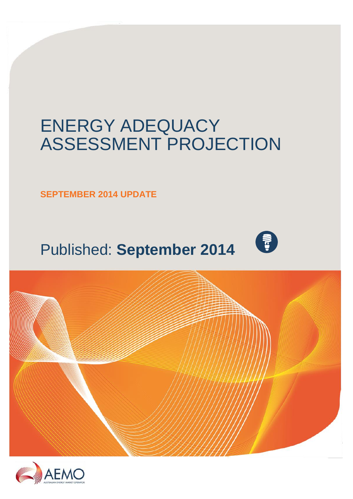## ENERGY ADEQUACY ASSESSMENT PROJECTION

**SEPTEMBER 2014 UPDATE**

# Published: **September 2014**





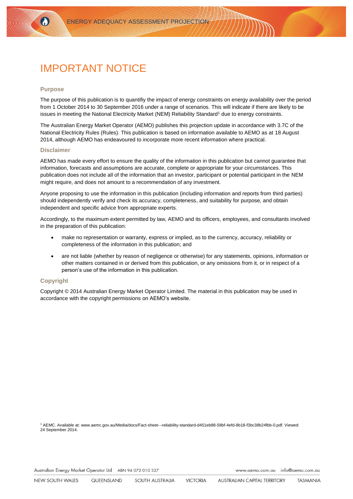## IMPORTANT NOTICE

#### **Purpose**

 $\Omega$ 

The purpose of this publication is to quantifiy the impact of energy constraints on energy availability over the period from 1 October 2014 to 30 September 2016 under a range of scenarios. This will indicate if there are likely to be issues in meeting the National Electricity Market (NEM) Reliability Standard<sup>1</sup> due to energy constraints.

The Australian Energy Market Operator (AEMO) publishes this projection update in accordance with 3.7C of the National Electricity Rules (Rules). This publication is based on information available to AEMO as at 18 August 2014, although AEMO has endeavoured to incorporate more recent information where practical.

#### **Disclaimer**

AEMO has made every effort to ensure the quality of the information in this publication but cannot guarantee that information, forecasts and assumptions are accurate, complete or appropriate for your circumstances. This publication does not include all of the information that an investor, participant or potential participant in the NEM might require, and does not amount to a recommendation of any investment.

Anyone proposing to use the information in this publication (including information and reports from third parties) should independently verify and check its accuracy, completeness, and suitability for purpose, and obtain independent and specific advice from appropriate experts.

Accordingly, to the maximum extent permitted by law, AEMO and its officers, employees, and consultants involved in the preparation of this publication:

- make no representation or warranty, express or implied, as to the currency, accuracy, reliability or completeness of the information in this publication; and
- are not liable (whether by reason of negligence or otherwise) for any statements, opinions, information or other matters contained in or derived from this publication, or any omissions from it, or in respect of a person's use of the information in this publication.

### **Copyright**

Copyright © 2014 Australian Energy Market Operator Limited. The material in this publication may be used in accordance with th[e copyright permissions](http://www.aemo.com.au/en/About-AEMO/Copyright-Permissions) on AEMO's website.

<sup>1</sup> AEMC. Available at[: www.aemc.gov.au/Media/docs/Fact-sheet---reliability-standard-d451eb88-58bf-4efd-8b18-f3bc38b24fbb-0.pdf.](http://www.aemc.gov.au/Media/docs/Fact-sheet---reliability-standard-d451eb88-58bf-4efd-8b18-f3bc38b24fbb-0.pdf) Viewed: 24 September 2014.

Australian Energy Market Operator Ltd ABN 94 072 010 327

www.aemo.com.au info@aemo.com.au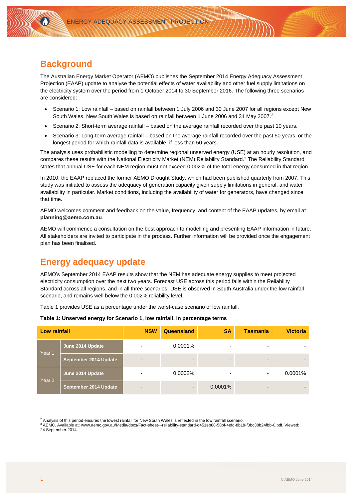## **Background**

 $\Omega$ 

The Australian Energy Market Operator (AEMO) publishes the September 2014 Energy Adequacy Assessment Projection (EAAP) update to analyse the potential effects of water availability and other fuel supply limitations on the electricity system over the period from 1 October 2014 to 30 September 2016. The following three scenarios are considered:

- Scenario 1: Low rainfall based on rainfall between 1 July 2006 and 30 June 2007 for all regions except New South Wales. New South Wales is based on rainfall between 1 June 2006 and 31 May 2007.<sup>2</sup>
- Scenario 2: Short-term average rainfall based on the average rainfall recorded over the past 10 years.
- Scenario 3: Long-term average rainfall based on the average rainfall recorded over the past 50 years, or the longest period for which rainfall data is available, if less than 50 years.

The analysis uses probabilistic modelling to determine regional unserved energy (USE) at an hourly resolution, and compares these results with the National Electricity Market (NEM) Reliability Standard. <sup>3</sup> The Reliability Standard states that annual USE for each NEM region must not exceed 0.002% of the total energy consumed in that region.

In 2010, the EAAP replaced the former AEMO Drought Study, which had been published quarterly from 2007. This study was initiated to assess the adequacy of generation capacity given supply limitations in general, and water availability in particular. Market conditions, including the availability of water for generators, have changed since that time.

AEMO welcomes comment and feedback on the value, frequency, and content of the EAAP updates, by email at **[planning@aemo.com.au](mailto:planning@aemo.com.au)**.

AEMO will commence a consultation on the best approach to modelling and presenting EAAP information in future. All stakeholders are invited to participate in the process. Further information will be provided once the engagement plan has been finalised.

## **Energy adequacy update**

AEMO's September 2014 EAAP results show that the NEM has adequate energy supplies to meet projected electricity consumption over the next two years. Forecast USE across this period falls within the Reliability Standard across all regions, and in all three scenarios. USE is observed in South Australia under the low rainfall scenario, and remains well below the 0.002% reliability level.

Table 1 provides USE as a percentage under the worst-case scenario of low rainfall.

**Table 1: Unserved energy for Scenario 1, low rainfall, in percentage terms** 

| .                   |                       |    |      |
|---------------------|-----------------------|----|------|
| <b>Low rainfall</b> | <b>NSW</b> Queensland | SΑ | Tasm |

| Low rainfall      |                       | <b>NSW</b>               | Queensland               | <b>SA</b>                | <b>Tasmania</b>          | <b>Victoria</b> |
|-------------------|-----------------------|--------------------------|--------------------------|--------------------------|--------------------------|-----------------|
| Year 1            | June 2014 Update      | ٠                        | 0.0001%                  | -                        | $\overline{\phantom{0}}$ |                 |
|                   | September 2014 Update | $\overline{\phantom{a}}$ | $\overline{\phantom{0}}$ | $\overline{\phantom{0}}$ | -                        |                 |
| Year <sub>2</sub> | June 2014 Update      | ۰                        | 0.0002%                  | -                        | -                        | $0.0001\%$      |
|                   | September 2014 Update | $\overline{\phantom{a}}$ | $\overline{\phantom{0}}$ | $0.0001\%$               | $\overline{\phantom{0}}$ |                 |

<sup>2</sup> Analysis of this period ensures the lowest rainfall for New South Wales is reflected in the low rainfall scenario.

<sup>3</sup> AEMC. Available at[: www.aemc.gov.au/Media/docs/Fact-sheet---reliability-standard-d451eb88-58bf-4efd-8b18-f3bc38b24fbb-0.pdf.](http://www.aemc.gov.au/Media/docs/Fact-sheet---reliability-standard-d451eb88-58bf-4efd-8b18-f3bc38b24fbb-0.pdf) Viewed: 24 September 2014.